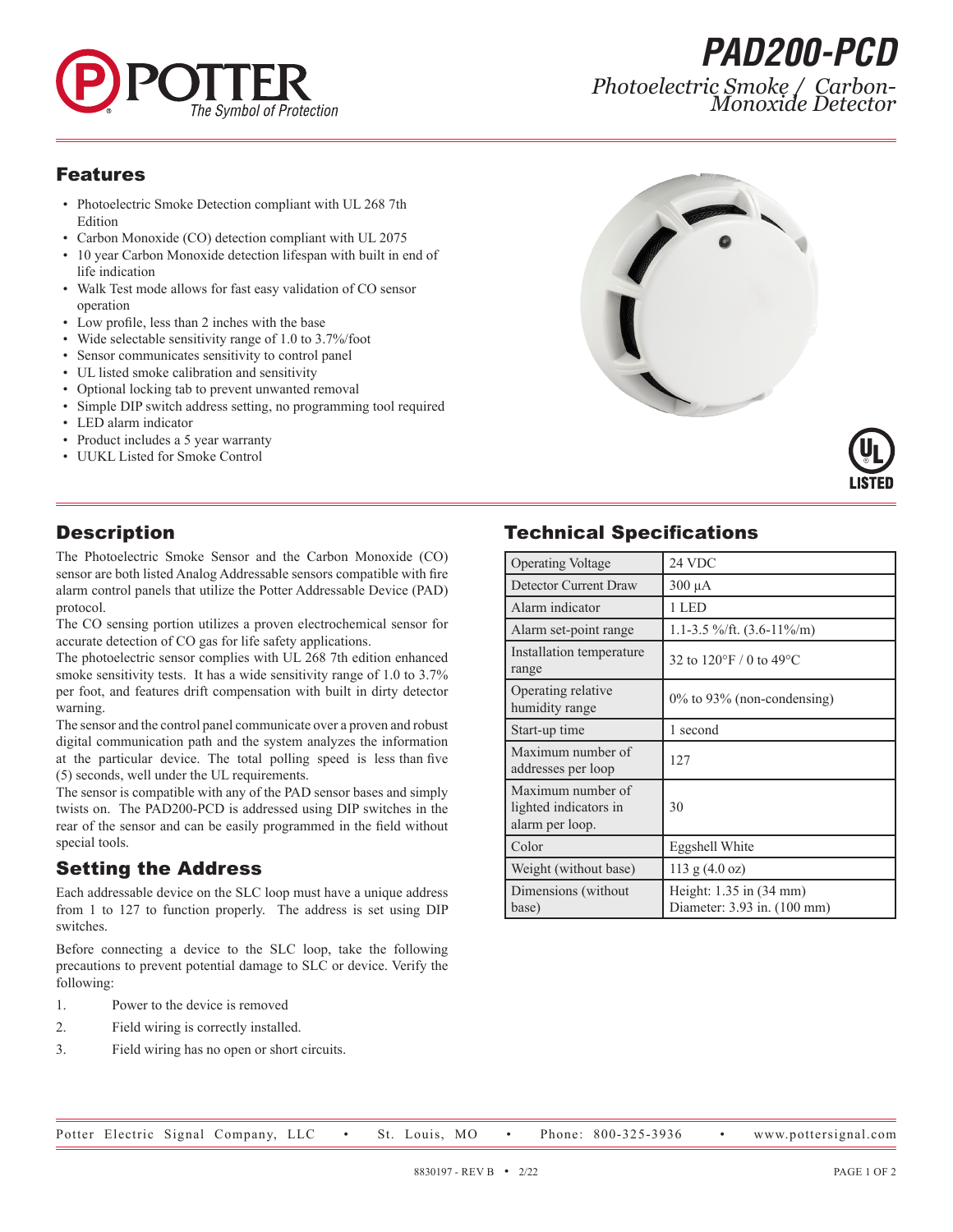

*PAD200-PCD Photoelectric Smoke / Carbon- Monoxide Detector*

#### Features

- Photoelectric Smoke Detection compliant with UL 268 7th Edition
- Carbon Monoxide (CO) detection compliant with UL 2075
- 10 year Carbon Monoxide detection lifespan with built in end of life indication
- Walk Test mode allows for fast easy validation of CO sensor operation
- Low profile, less than 2 inches with the base
- Wide selectable sensitivity range of 1.0 to 3.7%/foot
- Sensor communicates sensitivity to control panel
- UL listed smoke calibration and sensitivity
- Optional locking tab to prevent unwanted removal
- Simple DIP switch address setting, no programming tool required
- LED alarm indicator
- Product includes a 5 year warranty
- UUKL Listed for Smoke Control





# **Description**

The Photoelectric Smoke Sensor and the Carbon Monoxide (CO) sensor are both listed Analog Addressable sensors compatible with fire alarm control panels that utilize the Potter Addressable Device (PAD) protocol.

The CO sensing portion utilizes a proven electrochemical sensor for accurate detection of CO gas for life safety applications.

The photoelectric sensor complies with UL 268 7th edition enhanced smoke sensitivity tests. It has a wide sensitivity range of 1.0 to 3.7% per foot, and features drift compensation with built in dirty detector warning.

The sensor and the control panel communicate over a proven and robust digital communication path and the system analyzes the information at the particular device. The total polling speed is less than five (5) seconds, well under the UL requirements.

The sensor is compatible with any of the PAD sensor bases and simply twists on. The PAD200-PCD is addressed using DIP switches in the rear of the sensor and can be easily programmed in the field without special tools.

# Setting the Address

Each addressable device on the SLC loop must have a unique address from 1 to 127 to function properly. The address is set using DIP switches.

Before connecting a device to the SLC loop, take the following precautions to prevent potential damage to SLC or device. Verify the following:

- 1. Power to the device is removed
- 2. Field wiring is correctly installed.
- 3. Field wiring has no open or short circuits.

# Technical Specifications

| <b>Operating Voltage</b>                                      | 24 VDC                                                 |
|---------------------------------------------------------------|--------------------------------------------------------|
| Detector Current Draw                                         | $300 \mu A$                                            |
| Alarm indicator                                               | 1 LED                                                  |
| Alarm set-point range                                         | 1.1-3.5 %/ft. $(3.6-11\%/m)$                           |
| Installation temperature<br>range                             | 32 to 120 $\degree$ F / 0 to 49 $\degree$ C            |
| Operating relative<br>humidity range                          | $0\%$ to 93% (non-condensing)                          |
| Start-up time                                                 | 1 second                                               |
| Maximum number of<br>addresses per loop                       | 127                                                    |
| Maximum number of<br>lighted indicators in<br>alarm per loop. | 30                                                     |
| Color                                                         | Eggshell White                                         |
| Weight (without base)                                         | $113$ g $(4.0$ oz)                                     |
| Dimensions (without<br>base)                                  | Height: 1.35 in (34 mm)<br>Diameter: 3.93 in. (100 mm) |